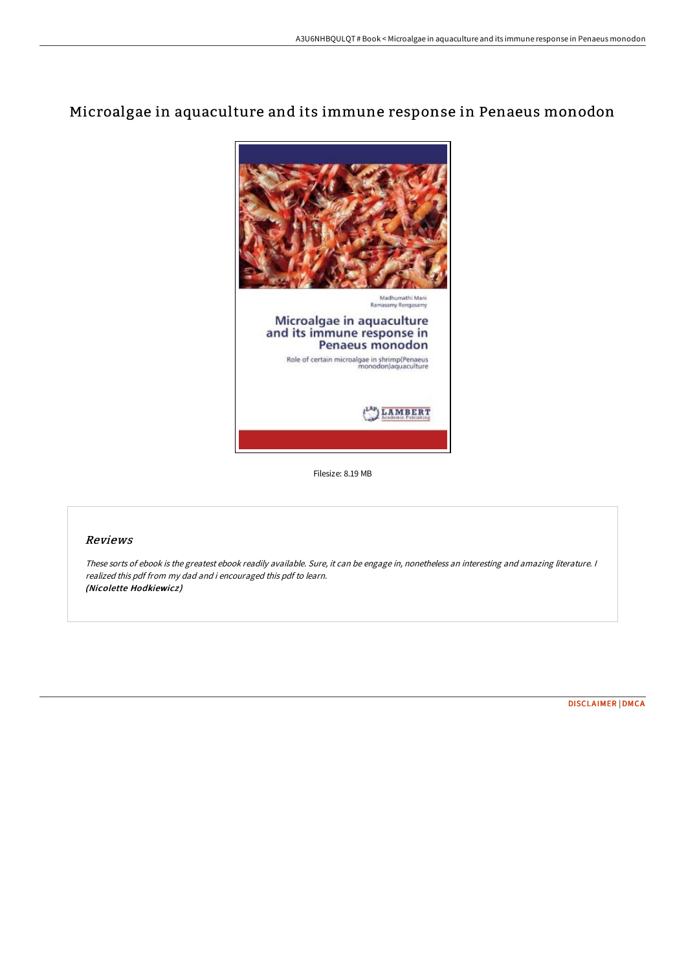# Microalgae in aquaculture and its immune response in Penaeus monodon



Filesize: 8.19 MB

## Reviews

These sorts of ebook is the greatest ebook readily available. Sure, it can be engage in, nonetheless an interesting and amazing literature. <sup>I</sup> realized this pdf from my dad and i encouraged this pdf to learn. (Nicolette Hodkiewicz)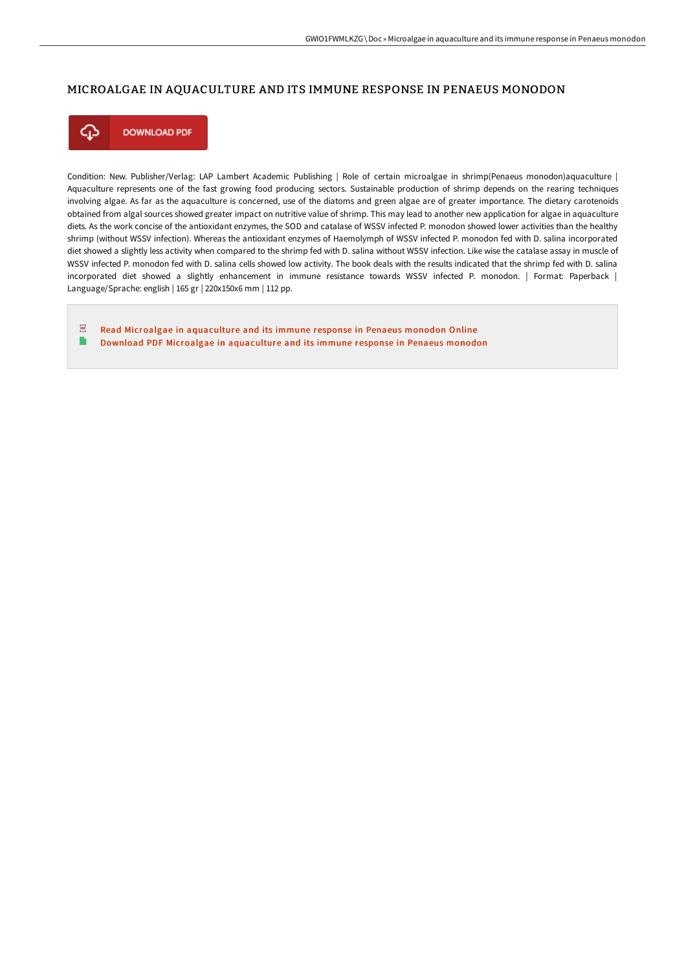## MICROALGAE IN AQUACULTURE AND ITS IMMUNE RESPONSE IN PENAEUS MONODON



**DOWNLOAD PDF** 

Condition: New. Publisher/Verlag: LAP Lambert Academic Publishing | Role of certain microalgae in shrimp(Penaeus monodon)aquaculture | Aquaculture represents one of the fast growing food producing sectors. Sustainable production of shrimp depends on the rearing techniques involving algae. As far as the aquaculture is concerned, use of the diatoms and green algae are of greater importance. The dietary carotenoids obtained from algal sources showed greater impact on nutritive value of shrimp. This may lead to another new application for algae in aquaculture diets. As the work concise of the antioxidant enzymes, the SOD and catalase of WSSV infected P. monodon showed lower activities than the healthy shrimp (without WSSV infection). Whereas the antioxidant enzymes of Haemolymph of WSSV infected P. monodon fed with D. salina incorporated diet showed a slightly less activity when compared to the shrimp fed with D. salina without WSSV infection. Like wise the catalase assay in muscle of WSSV infected P. monodon fed with D. salina cells showed low activity. The book deals with the results indicated that the shrimp fed with D. salina incorporated diet showed a slightly enhancement in immune resistance towards WSSV infected P. monodon. | Format: Paperback | Language/Sprache: english | 165 gr | 220x150x6 mm | 112 pp.

 $\sqrt{200}$ Read Microalgae in [aquaculture](http://www.bookdirs.com/microalgae-in-aquaculture-and-its-immune-respons.html) and its immune response in Penaeus monodon Online  $\Rightarrow$ Download PDF Microalgae in [aquaculture](http://www.bookdirs.com/microalgae-in-aquaculture-and-its-immune-respons.html) and its immune response in Penaeus monodon